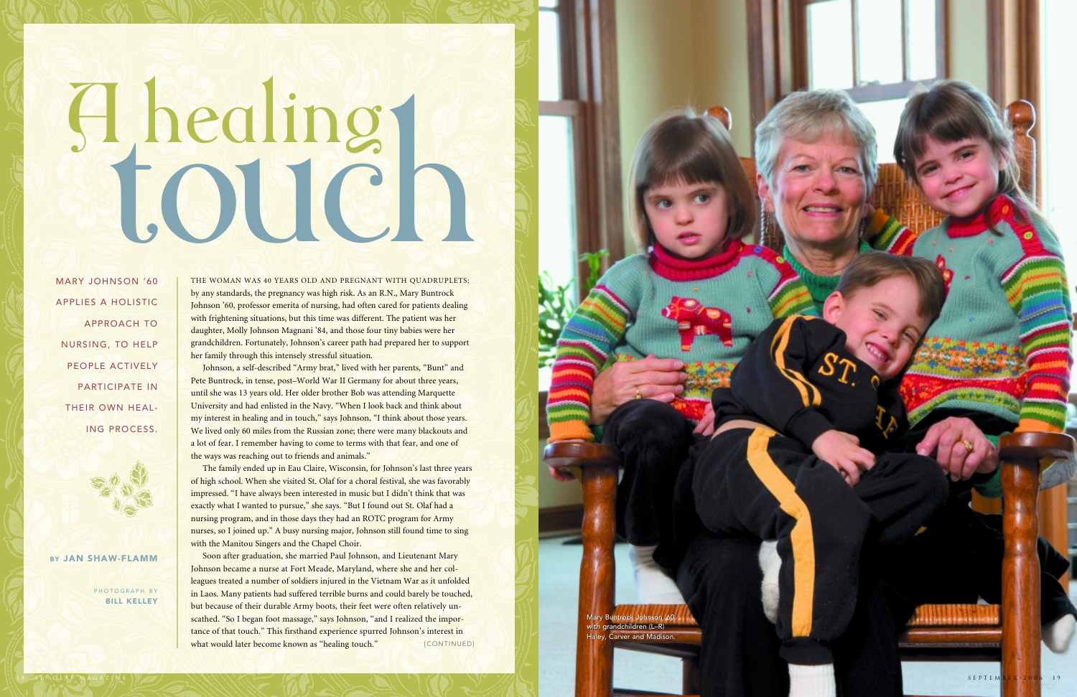THE WOMAN WAS 40 YEARS OLD AND PREGNANT WITH QUADRUPLETS; by any standards, the pregnancy was high risk. As an R.N., Mary Buntrock Johnson '60, professor emerita of nursing, had often cared for patients dealing with frightening situations, but this time was different. The patient was her daughter, Molly Johnson Magnani '84, and those four tiny babies were her grandchildren. Fortunately, Johnson's career path had prepared her to support her family through this intensely stressful situation.

Johnson, a self-described "Army brat," lived with her parents, "Bunt" and Pete Buntrock, in tense, post–World War II Germany for about three years, until she was 13 years old. Her older brother Bob was attending Marquette University and had enlisted in the Navy. "When I look back and think about my interest in healing and in touch," says Johnson, "I think about those years. We lived only 60 miles from the Russian zone; there were many blackouts and a lot of fear. I remember having to come to terms with that fear, and one of the ways was reaching out to friends and animals."

The family ended up in Eau Claire, Wisconsin, for Johnson's last three years of high school. When she visited St. Olaf for a choral festival, she was favorably impressed. "I have always been interested in music but I didn't think that was exactly what I wanted to pursue," she says. "But I found out St. Olaf had a nursing program, and in those days they had an ROTC program for Army nurses, so I joined up." A busy nursing major, Johnson still found time to sing with the Manitou Singers and the Chapel Choir.

PHOTOGRAPH BY**BILL KELLEY** 

> Mary Buntrock Johnson '60 with grandchildren (L–R) with grandchildren (L–R)<br>Haley, Carver and Madison.

Soon after graduation, she married Paul Johnson, and Lieutenant Mary Johnson became a nurse at Fort Meade, Maryland, where she and her colleagues treated a number of soldiers injured in the Vietnam War as it unfolded in Laos. Many patients had suffered terrible burns and could barely be touched, but because of their durable Army boots, their feet were often relatively unscathed. "So I began foot massage," says Johnson, "and I realized the importance of that touch." This firsthand experience spurred Johnson's interest in what would later become known as "healing touch." [CONTINUED]

# A healing

MARY JOHNSON '60APPLIES A HOLISTICAPPROACH TONURSING, TO HELP PEOPLE ACTIVELY PARTICIPATE INTHEIR OWN HEAL-ING PROCESS.



BY JAN SHAW-FLAMM